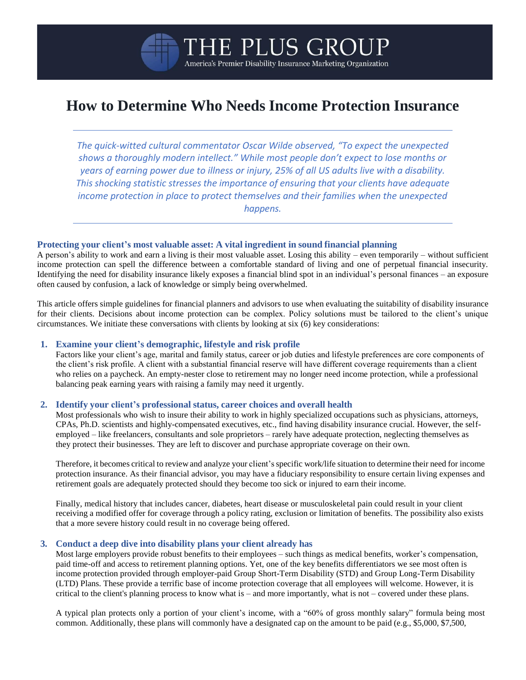# **How to Determine Who Needs Income Protection Insurance**

THE PLUS GROU

America's Premier Disability Insurance Marketing Organization

*The quick-witted cultural commentator Oscar Wilde observed, "To expect the unexpected shows a thoroughly modern intellect." While most people don't expect to lose months or years of earning power due to illness or injury, 25% of all US adults live with a disability. This shocking statistic stresses the importance of ensuring that your clients have adequate income protection in place to protect themselves and their families when the unexpected happens.*

#### **Protecting your client's most valuable asset: A vital ingredient in sound financial planning**

A person's ability to work and earn a living is their most valuable asset. Losing this ability – even temporarily – without sufficient income protection can spell the difference between a comfortable standard of living and one of perpetual financial insecurity. Identifying the need for disability insurance likely exposes a financial blind spot in an individual's personal finances – an exposure often caused by confusion, a lack of knowledge or simply being overwhelmed.

This article offers simple guidelines for financial planners and advisors to use when evaluating the suitability of disability insurance for their clients. Decisions about income protection can be complex. Policy solutions must be tailored to the client's unique circumstances. We initiate these conversations with clients by looking at six (6) key considerations:

#### **1. Examine your client's demographic, lifestyle and risk profile**

Factors like your client's age, marital and family status, career or job duties and lifestyle preferences are core components of the client's risk profile. A client with a substantial financial reserve will have different coverage requirements than a client who relies on a paycheck. An empty-nester close to retirement may no longer need income protection, while a professional balancing peak earning years with raising a family may need it urgently.

#### **2. Identify your client's professional status, career choices and overall health**

Most professionals who wish to insure their ability to work in highly specialized occupations such as physicians, attorneys, CPAs, Ph.D. scientists and highly-compensated executives, etc., find having disability insurance crucial. However, the selfemployed – like freelancers, consultants and sole proprietors – rarely have adequate protection, neglecting themselves as they protect their businesses. They are left to discover and purchase appropriate coverage on their own.

Therefore, it becomes critical to review and analyze your client'sspecific work/life situation to determine their need for income protection insurance. As their financial advisor, you may have a fiduciary responsibility to ensure certain living expenses and retirement goals are adequately protected should they become too sick or injured to earn their income.

Finally, medical history that includes cancer, diabetes, heart disease or musculoskeletal pain could result in your client receiving a modified offer for coverage through a policy rating, exclusion or limitation of benefits. The possibility also exists that a more severe history could result in no coverage being offered.

#### **3. Conduct a deep dive into disability plans your client already has**

Most large employers provide robust benefits to their employees – such things as medical benefits, worker's compensation, paid time-off and access to retirement planning options. Yet, one of the key benefits differentiators we see most often is income protection provided through employer-paid Group Short-Term Disability (STD) and Group Long-Term Disability (LTD) Plans. These provide a terrific base of income protection coverage that all employees will welcome. However, it is critical to the client's planning process to know what is – and more importantly, what is not – covered under these plans.

A typical plan protects only a portion of your client's income, with a "60% of gross monthly salary" formula being most common. Additionally, these plans will commonly have a designated cap on the amount to be paid (e.g., \$5,000, \$7,500,